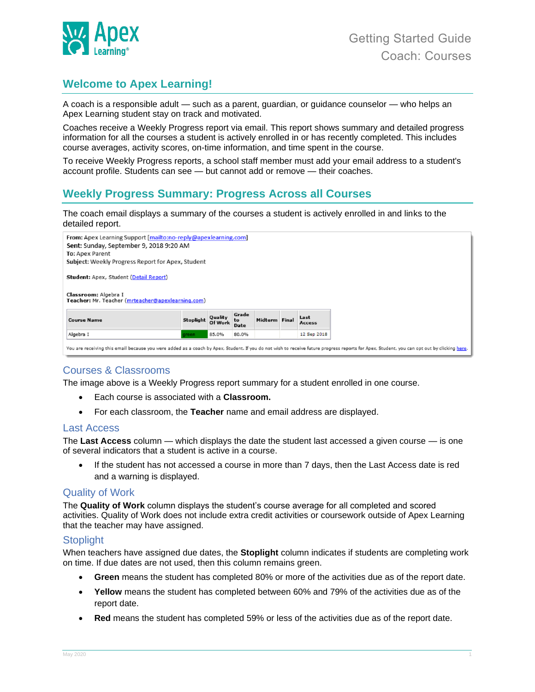

# **Welcome to Apex Learning!**

A coach is a responsible adult — such as a parent, guardian, or guidance counselor — who helps an Apex Learning student stay on track and motivated.

Coaches receive a Weekly Progress report via email. This report shows summary and detailed progress information for all the courses a student is actively enrolled in or has recently completed. This includes course averages, activity scores, on-time information, and time spent in the course.

To receive Weekly Progress reports, a school staff member must add your email address to a student's account profile. Students can see — but cannot add or remove — their coaches.

# **Weekly Progress Summary: Progress Across all Courses**

The coach email displays a summary of the courses a student is actively enrolled in and links to the detailed report.



## Courses & Classrooms

The image above is a Weekly Progress report summary for a student enrolled in one course.

- Each course is associated with a **Classroom.**
- For each classroom, the **Teacher** name and email address are displayed.

#### Last Access

The **Last Access** column — which displays the date the student last accessed a given course — is one of several indicators that a student is active in a course.

• If the student has not accessed a course in more than 7 days, then the Last Access date is red and a warning is displayed.

#### Quality of Work

The **Quality of Work** column displays the student's course average for all completed and scored activities. Quality of Work does not include extra credit activities or coursework outside of Apex Learning that the teacher may have assigned.

#### Stoplight

When teachers have assigned due dates, the **Stoplight** column indicates if students are completing work on time. If due dates are not used, then this column remains green.

- **Green** means the student has completed 80% or more of the activities due as of the report date.
- **Yellow** means the student has completed between 60% and 79% of the activities due as of the report date.
- **Red** means the student has completed 59% or less of the activities due as of the report date.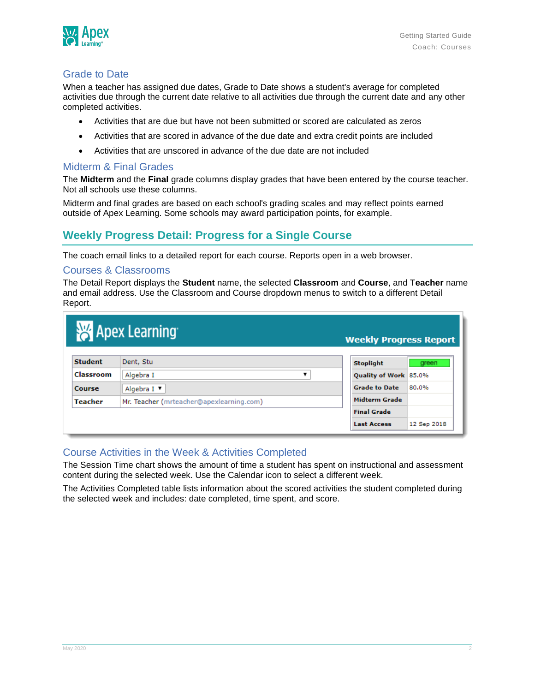

### Grade to Date

When a teacher has assigned due dates, Grade to Date shows a student's average for completed activities due through the current date relative to all activities due through the current date and any other completed activities.

- Activities that are due but have not been submitted or scored are calculated as zeros
- Activities that are scored in advance of the due date and extra credit points are included
- Activities that are unscored in advance of the due date are not included

### Midterm & Final Grades

The **Midterm** and the **Final** grade columns display grades that have been entered by the course teacher. Not all schools use these columns.

Midterm and final grades are based on each school's grading scales and may reflect points earned outside of Apex Learning. Some schools may award participation points, for example.

# **Weekly Progress Detail: Progress for a Single Course**

The coach email links to a detailed report for each course. Reports open in a web browser.

### Courses & Classrooms

The Detail Report displays the **Student** name, the selected **Classroom** and **Course**, and T**eacher** name and email address. Use the Classroom and Course dropdown menus to switch to a different Detail Report.

| <b>Apex Learning</b><br><b>Weekly Progress Report</b> |                                          |  |                       |             |  |  |  |
|-------------------------------------------------------|------------------------------------------|--|-----------------------|-------------|--|--|--|
| <b>Student</b>                                        | Dent, Stu                                |  | <b>Stoplight</b>      | green       |  |  |  |
| Classroom                                             | Algebra I                                |  | Quality of Work 85.0% |             |  |  |  |
| Course                                                | Algebra I ▼                              |  | <b>Grade to Date</b>  | 80.0%       |  |  |  |
| <b>Teacher</b>                                        | Mr. Teacher (mrteacher@apexlearning.com) |  | Midterm Grade         |             |  |  |  |
|                                                       |                                          |  | <b>Final Grade</b>    |             |  |  |  |
|                                                       |                                          |  | <b>Last Access</b>    | 12 Sep 2018 |  |  |  |

### Course Activities in the Week & Activities Completed

The Session Time chart shows the amount of time a student has spent on instructional and assessment content during the selected week. Use the Calendar icon to select a different week.

The Activities Completed table lists information about the scored activities the student completed during the selected week and includes: date completed, time spent, and score.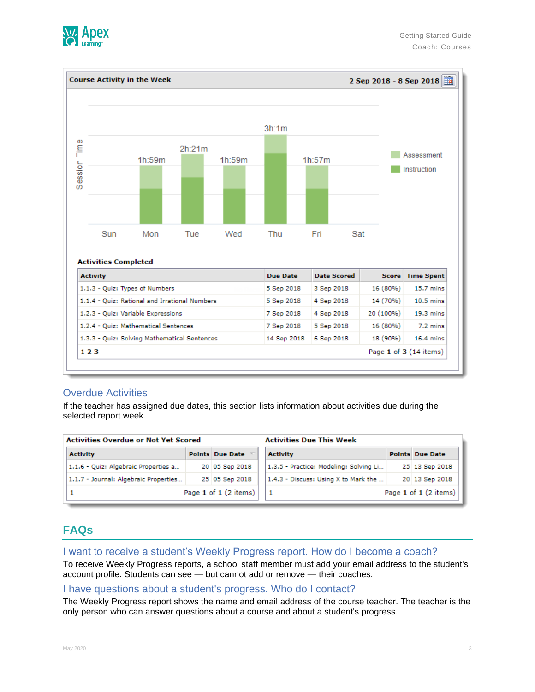



### Overdue Activities

If the teacher has assigned due dates, this section lists information about activities due during the selected report week.

| <b>Activities Overdue or Not Yet Scored</b> |  |                        | <b>Activities Due This Week</b>        |  |                        |  |
|---------------------------------------------|--|------------------------|----------------------------------------|--|------------------------|--|
| <b>Activity</b>                             |  | <b>Points Due Date</b> | <b>Activity</b>                        |  | <b>Points Due Date</b> |  |
| 1.1.6 - Quiz: Algebraic Properties a        |  | 20 05 Sep 2018         | 1.3.5 - Practice: Modeling: Solving Li |  | 25 13 Sep 2018         |  |
| 1.1.7 - Journal: Algebraic Properties       |  | 25 05 Sep 2018         | 1.4.3 - Discuss: Using X to Mark the   |  | 20 13 Sep 2018         |  |
| Page 1 of 1 (2 items)                       |  |                        | Page 1 of 1 (2 items)                  |  |                        |  |

# **FAQs**

#### I want to receive a student's Weekly Progress report. How do I become a coach?

To receive Weekly Progress reports, a school staff member must add your email address to the student's account profile. Students can see — but cannot add or remove — their coaches.

#### I have questions about a student's progress. Who do I contact?

The Weekly Progress report shows the name and email address of the course teacher. The teacher is the only person who can answer questions about a course and about a student's progress.